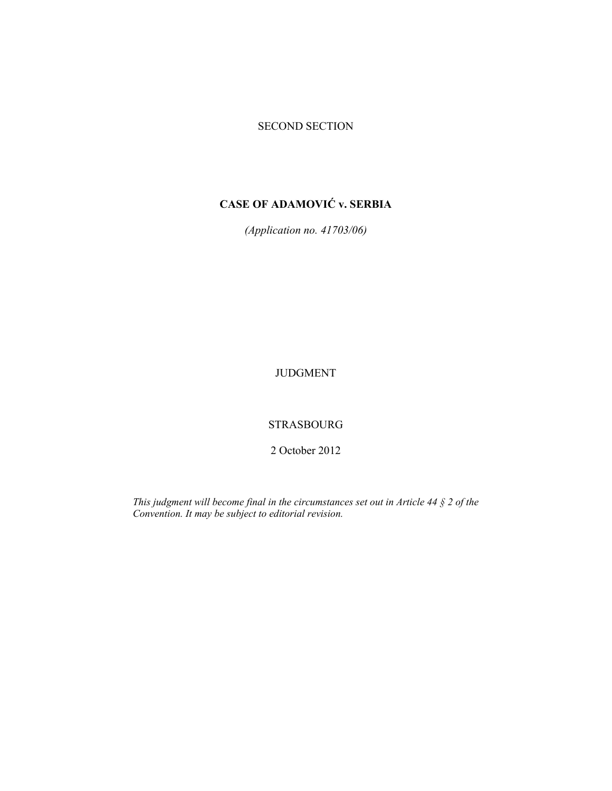## SECOND SECTION

# **CASE OF ADAMOVIĆ v. SERBIA**

*(Application no. 41703/06)* 

JUDGMENT

STRASBOURG

2 October 2012

*This judgment will become final in the circumstances set out in Article 44 § 2 of the Convention. It may be subject to editorial revision.*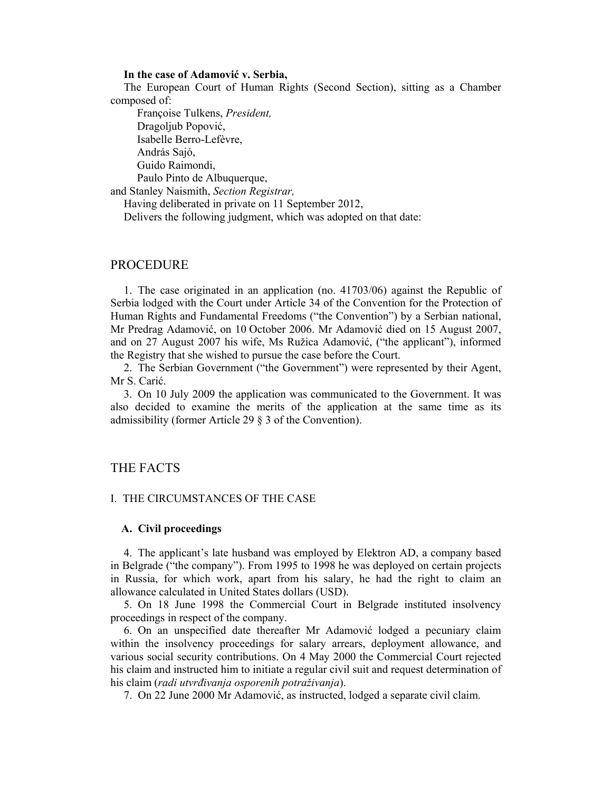#### **In the case of Adamović v. Serbia,**

The European Court of Human Rights (Second Section), sitting as a Chamber composed of:

 Françoise Tulkens, *President,*  Dragoljub Popović, Isabelle Berro-Lefèvre, András Sajó, Guido Raimondi, Paulo Pinto de Albuquerque,

and Stanley Naismith, *Section Registrar,*

Having deliberated in private on 11 September 2012,

Delivers the following judgment, which was adopted on that date:

#### PROCEDURE

1. The case originated in an application (no. 41703/06) against the Republic of Serbia lodged with the Court under Article 34 of the Convention for the Protection of Human Rights and Fundamental Freedoms ("the Convention") by a Serbian national, Mr Predrag Adamović, on 10 October 2006. Mr Adamović died on 15 August 2007, and on 27 August 2007 his wife, Ms Ružica Adamović, ("the applicant"), informed the Registry that she wished to pursue the case before the Court.

2. The Serbian Government ("the Government") were represented by their Agent, Mr S. Carić.

3. On 10 July 2009 the application was communicated to the Government. It was also decided to examine the merits of the application at the same time as its admissibility (former Article 29 § 3 of the Convention).

## THE FACTS

#### I. THE CIRCUMSTANCES OF THE CASE

#### **A. Civil proceedings**

4. The applicant's late husband was employed by Elektron AD, a company based in Belgrade ("the company"). From 1995 to 1998 he was deployed on certain projects in Russia, for which work, apart from his salary, he had the right to claim an allowance calculated in United States dollars (USD).

5. On 18 June 1998 the Commercial Court in Belgrade instituted insolvency proceedings in respect of the company.

6. On an unspecified date thereafter Mr Adamović lodged a pecuniary claim within the insolvency proceedings for salary arrears, deployment allowance, and various social security contributions. On 4 May 2000 the Commercial Court rejected his claim and instructed him to initiate a regular civil suit and request determination of his claim (*radi utvrđivanja osporenih potraživanja*).

7. On 22 June 2000 Mr Adamović, as instructed, lodged a separate civil claim.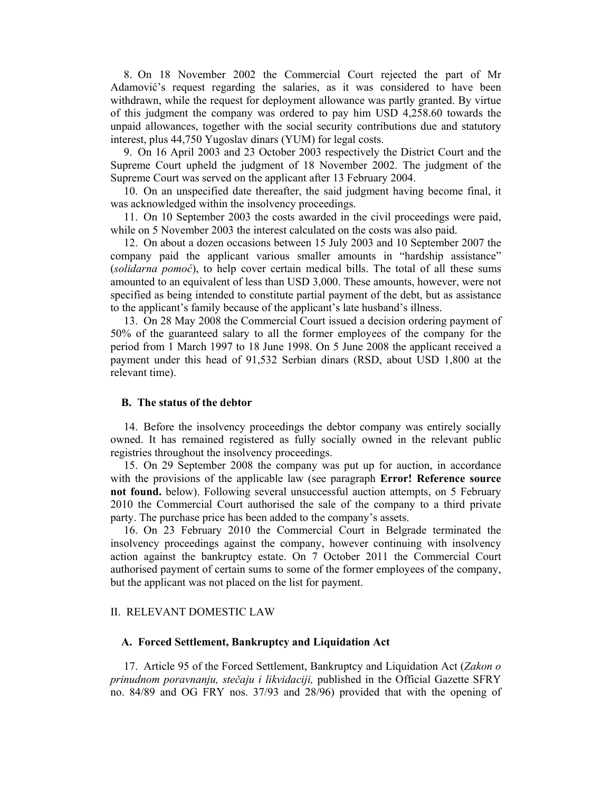8. On 18 November 2002 the Commercial Court rejected the part of Mr Adamović's request regarding the salaries, as it was considered to have been withdrawn, while the request for deployment allowance was partly granted. By virtue of this judgment the company was ordered to pay him USD 4,258.60 towards the unpaid allowances, together with the social security contributions due and statutory interest, plus 44,750 Yugoslav dinars (YUM) for legal costs.

9. On 16 April 2003 and 23 October 2003 respectively the District Court and the Supreme Court upheld the judgment of 18 November 2002. The judgment of the Supreme Court was served on the applicant after 13 February 2004.

10. On an unspecified date thereafter, the said judgment having become final, it was acknowledged within the insolvency proceedings.

11. On 10 September 2003 the costs awarded in the civil proceedings were paid, while on 5 November 2003 the interest calculated on the costs was also paid.

12. On about a dozen occasions between 15 July 2003 and 10 September 2007 the company paid the applicant various smaller amounts in "hardship assistance" (*solidarna pomoć*), to help cover certain medical bills. The total of all these sums amounted to an equivalent of less than USD 3,000. These amounts, however, were not specified as being intended to constitute partial payment of the debt, but as assistance to the applicant's family because of the applicant's late husband's illness.

13. On 28 May 2008 the Commercial Court issued a decision ordering payment of 50% of the guaranteed salary to all the former employees of the company for the period from 1 March 1997 to 18 June 1998. On 5 June 2008 the applicant received a payment under this head of 91,532 Serbian dinars (RSD, about USD 1,800 at the relevant time).

#### **B. The status of the debtor**

14. Before the insolvency proceedings the debtor company was entirely socially owned. It has remained registered as fully socially owned in the relevant public registries throughout the insolvency proceedings.

15. On 29 September 2008 the company was put up for auction, in accordance with the provisions of the applicable law (see paragraph **Error! Reference source not found.** below). Following several unsuccessful auction attempts, on 5 February 2010 the Commercial Court authorised the sale of the company to a third private party. The purchase price has been added to the company's assets.

16. On 23 February 2010 the Commercial Court in Belgrade terminated the insolvency proceedings against the company, however continuing with insolvency action against the bankruptcy estate. On 7 October 2011 the Commercial Court authorised payment of certain sums to some of the former employees of the company, but the applicant was not placed on the list for payment.

#### II. RELEVANT DOMESTIC LAW

#### **A. Forced Settlement, Bankruptcy and Liquidation Act**

17. Article 95 of the Forced Settlement, Bankruptcy and Liquidation Act (*Zakon o prinudnom poravnanju, stečaju i likvidaciji,* published in the Official Gazette SFRY no. 84/89 and OG FRY nos. 37/93 and 28/96) provided that with the opening of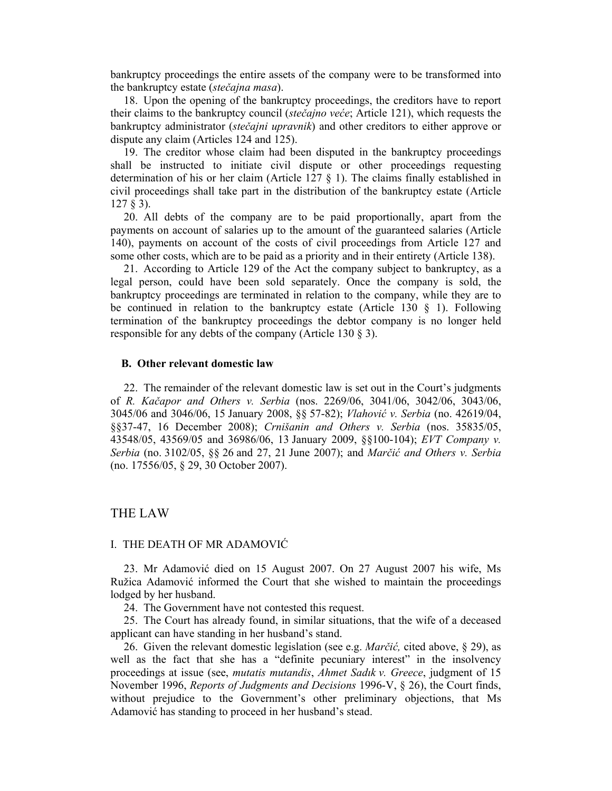bankruptcy proceedings the entire assets of the company were to be transformed into the bankruptcy estate (*stečajna masa*).

18. Upon the opening of the bankruptcy proceedings, the creditors have to report their claims to the bankruptcy council (*stečajno veće*; Article 121), which requests the bankruptcy administrator (*stečajni upravnik*) and other creditors to either approve or dispute any claim (Articles 124 and 125).

19. The creditor whose claim had been disputed in the bankruptcy proceedings shall be instructed to initiate civil dispute or other proceedings requesting determination of his or her claim (Article 127  $\S$  1). The claims finally established in civil proceedings shall take part in the distribution of the bankruptcy estate (Article 127 § 3).

20. All debts of the company are to be paid proportionally, apart from the payments on account of salaries up to the amount of the guaranteed salaries (Article 140), payments on account of the costs of civil proceedings from Article 127 and some other costs, which are to be paid as a priority and in their entirety (Article 138).

21. According to Article 129 of the Act the company subject to bankruptcy, as a legal person, could have been sold separately. Once the company is sold, the bankruptcy proceedings are terminated in relation to the company, while they are to be continued in relation to the bankruptcy estate (Article 130 § 1). Following termination of the bankruptcy proceedings the debtor company is no longer held responsible for any debts of the company (Article 130 § 3).

#### **B. Other relevant domestic law**

22. The remainder of the relevant domestic law is set out in the Court's judgments of *R. Kačapor and Others v. Serbia* (nos. 2269/06, 3041/06, 3042/06, 3043/06, 3045/06 and 3046/06, 15 January 2008, §§ 57-82); *Vlahović v. Serbia* (no. 42619/04, §§37-47, 16 December 2008); *Crnišanin and Others v. Serbia* (nos. 35835/05, 43548/05, 43569/05 and 36986/06, 13 January 2009, §§100-104); *EVT Company v. Serbia* (no. 3102/05, §§ 26 and 27, 21 June 2007); and *Marčić and Others v. Serbia* (no. 17556/05, § 29, 30 October 2007).

## THE LAW

#### I. THE DEATH OF MR ADAMOVIĆ

23. Mr Adamović died on 15 August 2007. On 27 August 2007 his wife, Ms Ružica Adamović informed the Court that she wished to maintain the proceedings lodged by her husband.

24. The Government have not contested this request.

25. The Court has already found, in similar situations, that the wife of a deceased applicant can have standing in her husband's stand.

26. Given the relevant domestic legislation (see e.g. *Marčić,* cited above, § 29), as well as the fact that she has a "definite pecuniary interest" in the insolvency proceedings at issue (see, *mutatis mutandis*, *Ahmet Sadık v. Greece*, judgment of 15 November 1996, *Reports of Judgments and Decisions* 1996-V, § 26), the Court finds, without prejudice to the Government's other preliminary objections, that Ms Adamović has standing to proceed in her husband's stead.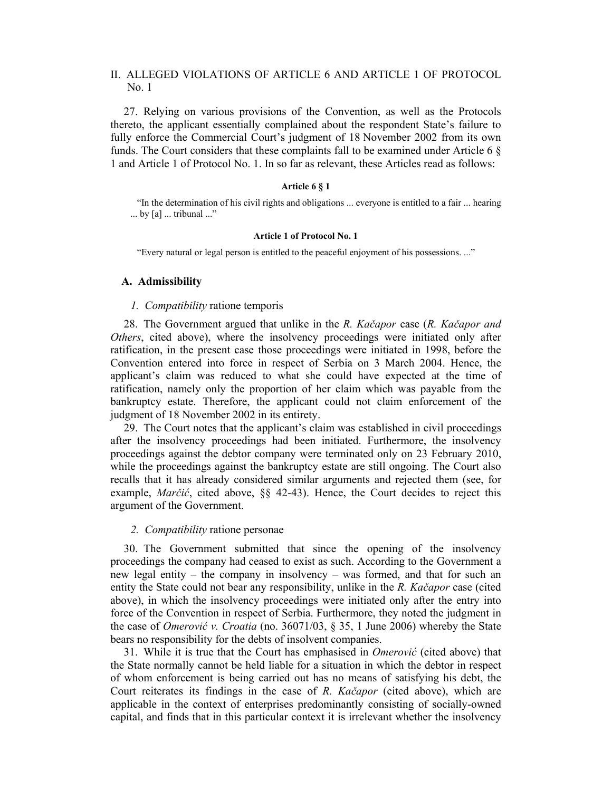### II. ALLEGED VIOLATIONS OF ARTICLE 6 AND ARTICLE 1 OF PROTOCOL No. 1

27. Relying on various provisions of the Convention, as well as the Protocols thereto, the applicant essentially complained about the respondent State's failure to fully enforce the Commercial Court's judgment of 18 November 2002 from its own funds. The Court considers that these complaints fall to be examined under Article 6  $\S$ 1 and Article 1 of Protocol No. 1. In so far as relevant, these Articles read as follows:

#### **Article 6 § 1**

"In the determination of his civil rights and obligations ... everyone is entitled to a fair ... hearing ... by [a] ... tribunal ..."

#### **Article 1 of Protocol No. 1**

"Every natural or legal person is entitled to the peaceful enjoyment of his possessions. ..."

#### **A. Admissibility**

#### *1. Compatibility* ratione temporis

28. The Government argued that unlike in the *R. Kačapor* case (*R. Kačapor and Others*, cited above), where the insolvency proceedings were initiated only after ratification, in the present case those proceedings were initiated in 1998, before the Convention entered into force in respect of Serbia on 3 March 2004. Hence, the applicant's claim was reduced to what she could have expected at the time of ratification, namely only the proportion of her claim which was payable from the bankruptcy estate. Therefore, the applicant could not claim enforcement of the judgment of 18 November 2002 in its entirety.

29. The Court notes that the applicant's claim was established in civil proceedings after the insolvency proceedings had been initiated. Furthermore, the insolvency proceedings against the debtor company were terminated only on 23 February 2010, while the proceedings against the bankruptcy estate are still ongoing. The Court also recalls that it has already considered similar arguments and rejected them (see, for example, *Marčić*, cited above, §§ 42-43). Hence, the Court decides to reject this argument of the Government.

#### *2. Compatibility* ratione personae

30. The Government submitted that since the opening of the insolvency proceedings the company had ceased to exist as such. According to the Government a new legal entity – the company in insolvency – was formed, and that for such an entity the State could not bear any responsibility, unlike in the *R. Kačapor* case (cited above), in which the insolvency proceedings were initiated only after the entry into force of the Convention in respect of Serbia. Furthermore, they noted the judgment in the case of *Omerović v. Croatia* (no. 36071/03, § 35, 1 June 2006) whereby the State bears no responsibility for the debts of insolvent companies.

31. While it is true that the Court has emphasised in *Omerović* (cited above) that the State normally cannot be held liable for a situation in which the debtor in respect of whom enforcement is being carried out has no means of satisfying his debt, the Court reiterates its findings in the case of *R. Kačapor* (cited above), which are applicable in the context of enterprises predominantly consisting of socially-owned capital, and finds that in this particular context it is irrelevant whether the insolvency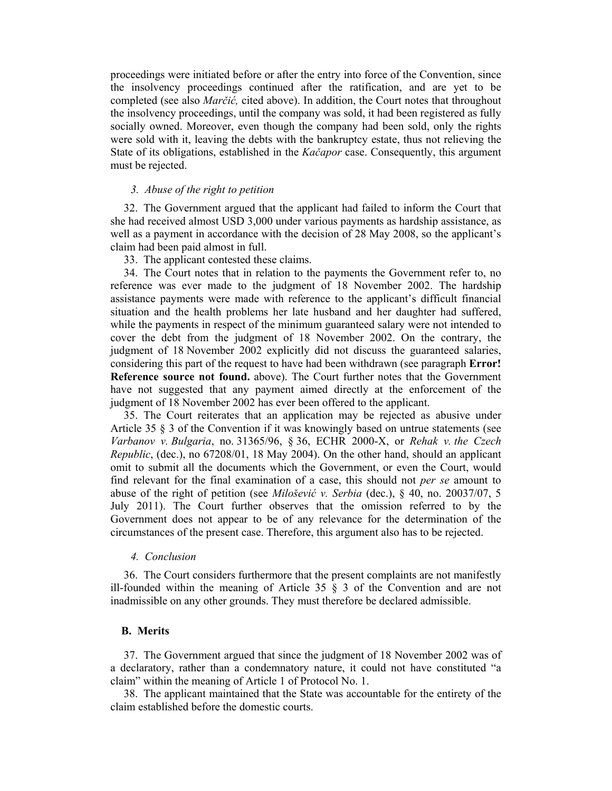proceedings were initiated before or after the entry into force of the Convention, since the insolvency proceedings continued after the ratification, and are yet to be completed (see also *Marčić,* cited above). In addition, the Court notes that throughout the insolvency proceedings, until the company was sold, it had been registered as fully socially owned. Moreover, even though the company had been sold, only the rights were sold with it, leaving the debts with the bankruptcy estate, thus not relieving the State of its obligations, established in the *Kačapor* case. Consequently, this argument must be rejected.

#### *3. Abuse of the right to petition*

32. The Government argued that the applicant had failed to inform the Court that she had received almost USD 3,000 under various payments as hardship assistance, as well as a payment in accordance with the decision of 28 May 2008, so the applicant's claim had been paid almost in full.

33. The applicant contested these claims.

34. The Court notes that in relation to the payments the Government refer to, no reference was ever made to the judgment of 18 November 2002. The hardship assistance payments were made with reference to the applicant's difficult financial situation and the health problems her late husband and her daughter had suffered, while the payments in respect of the minimum guaranteed salary were not intended to cover the debt from the judgment of 18 November 2002. On the contrary, the judgment of 18 November 2002 explicitly did not discuss the guaranteed salaries, considering this part of the request to have had been withdrawn (see paragraph **Error! Reference source not found.** above). The Court further notes that the Government have not suggested that any payment aimed directly at the enforcement of the judgment of 18 November 2002 has ever been offered to the applicant.

35. The Court reiterates that an application may be rejected as abusive under Article 35 § 3 of the Convention if it was knowingly based on untrue statements (see *Varbanov v. Bulgaria*, no. 31365/96, § 36, ECHR 2000-X, or *Rehak v. the Czech Republic*, (dec.), no 67208/01, 18 May 2004). On the other hand, should an applicant omit to submit all the documents which the Government, or even the Court, would find relevant for the final examination of a case, this should not *per se* amount to abuse of the right of petition (see *Milošević v. Serbia* (dec.), § 40, no. 20037/07, 5 July 2011). The Court further observes that the omission referred to by the Government does not appear to be of any relevance for the determination of the circumstances of the present case. Therefore, this argument also has to be rejected.

#### *4. Conclusion*

36. The Court considers furthermore that the present complaints are not manifestly ill-founded within the meaning of Article 35 § 3 of the Convention and are not inadmissible on any other grounds. They must therefore be declared admissible.

#### **B. Merits**

37. The Government argued that since the judgment of 18 November 2002 was of a declaratory, rather than a condemnatory nature, it could not have constituted "a claim" within the meaning of Article 1 of Protocol No. 1.

38. The applicant maintained that the State was accountable for the entirety of the claim established before the domestic courts.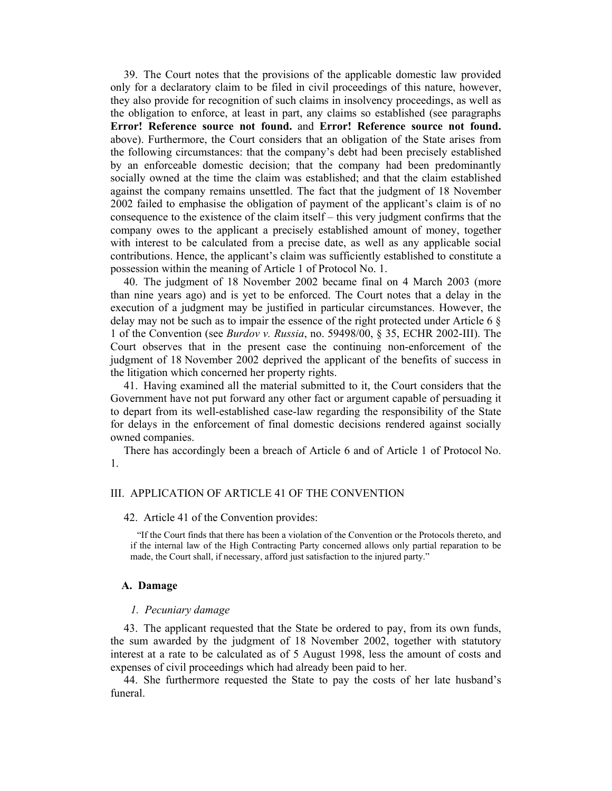39. The Court notes that the provisions of the applicable domestic law provided only for a declaratory claim to be filed in civil proceedings of this nature, however, they also provide for recognition of such claims in insolvency proceedings, as well as the obligation to enforce, at least in part, any claims so established (see paragraphs **Error! Reference source not found.** and **Error! Reference source not found.** above). Furthermore, the Court considers that an obligation of the State arises from the following circumstances: that the company's debt had been precisely established by an enforceable domestic decision; that the company had been predominantly socially owned at the time the claim was established; and that the claim established against the company remains unsettled. The fact that the judgment of 18 November 2002 failed to emphasise the obligation of payment of the applicant's claim is of no consequence to the existence of the claim itself – this very judgment confirms that the company owes to the applicant a precisely established amount of money, together with interest to be calculated from a precise date, as well as any applicable social contributions. Hence, the applicant's claim was sufficiently established to constitute a possession within the meaning of Article 1 of Protocol No. 1.

40. The judgment of 18 November 2002 became final on 4 March 2003 (more than nine years ago) and is yet to be enforced. The Court notes that a delay in the execution of a judgment may be justified in particular circumstances. However, the delay may not be such as to impair the essence of the right protected under Article 6  $\S$ 1 of the Convention (see *Burdov v. Russia*, no. 59498/00, § 35, ECHR 2002-III). The Court observes that in the present case the continuing non-enforcement of the judgment of 18 November 2002 deprived the applicant of the benefits of success in the litigation which concerned her property rights.

41. Having examined all the material submitted to it, the Court considers that the Government have not put forward any other fact or argument capable of persuading it to depart from its well-established case-law regarding the responsibility of the State for delays in the enforcement of final domestic decisions rendered against socially owned companies.

There has accordingly been a breach of Article 6 and of Article 1 of Protocol No. 1.

#### III. APPLICATION OF ARTICLE 41 OF THE CONVENTION

#### 42. Article 41 of the Convention provides:

"If the Court finds that there has been a violation of the Convention or the Protocols thereto, and if the internal law of the High Contracting Party concerned allows only partial reparation to be made, the Court shall, if necessary, afford just satisfaction to the injured party."

#### **A. Damage**

#### *1. Pecuniary damage*

43. The applicant requested that the State be ordered to pay, from its own funds, the sum awarded by the judgment of 18 November 2002, together with statutory interest at a rate to be calculated as of 5 August 1998, less the amount of costs and expenses of civil proceedings which had already been paid to her.

44. She furthermore requested the State to pay the costs of her late husband's funeral.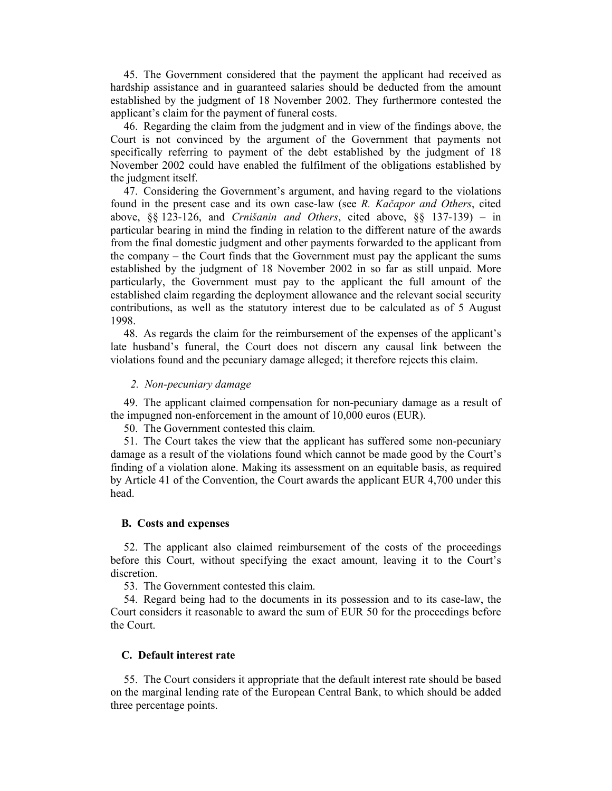45. The Government considered that the payment the applicant had received as hardship assistance and in guaranteed salaries should be deducted from the amount established by the judgment of 18 November 2002. They furthermore contested the applicant's claim for the payment of funeral costs.

46. Regarding the claim from the judgment and in view of the findings above, the Court is not convinced by the argument of the Government that payments not specifically referring to payment of the debt established by the judgment of 18 November 2002 could have enabled the fulfilment of the obligations established by the judgment itself.

47. Considering the Government's argument, and having regard to the violations found in the present case and its own case-law (see *R. Kačapor and Others*, cited above, §§ 123-126, and *Crnišanin and Others*, cited above, §§ 137-139) – in particular bearing in mind the finding in relation to the different nature of the awards from the final domestic judgment and other payments forwarded to the applicant from the company – the Court finds that the Government must pay the applicant the sums established by the judgment of 18 November 2002 in so far as still unpaid. More particularly, the Government must pay to the applicant the full amount of the established claim regarding the deployment allowance and the relevant social security contributions, as well as the statutory interest due to be calculated as of 5 August 1998.

48. As regards the claim for the reimbursement of the expenses of the applicant's late husband's funeral, the Court does not discern any causal link between the violations found and the pecuniary damage alleged; it therefore rejects this claim.

*2. Non-pecuniary damage* 

49. The applicant claimed compensation for non-pecuniary damage as a result of the impugned non-enforcement in the amount of 10,000 euros (EUR).

50. The Government contested this claim.

51. The Court takes the view that the applicant has suffered some non-pecuniary damage as a result of the violations found which cannot be made good by the Court's finding of a violation alone. Making its assessment on an equitable basis, as required by Article 41 of the Convention, the Court awards the applicant EUR 4,700 under this head.

#### **B. Costs and expenses**

52. The applicant also claimed reimbursement of the costs of the proceedings before this Court, without specifying the exact amount, leaving it to the Court's discretion.

53. The Government contested this claim.

54. Regard being had to the documents in its possession and to its case-law, the Court considers it reasonable to award the sum of EUR 50 for the proceedings before the Court.

#### **C. Default interest rate**

55. The Court considers it appropriate that the default interest rate should be based on the marginal lending rate of the European Central Bank, to which should be added three percentage points.